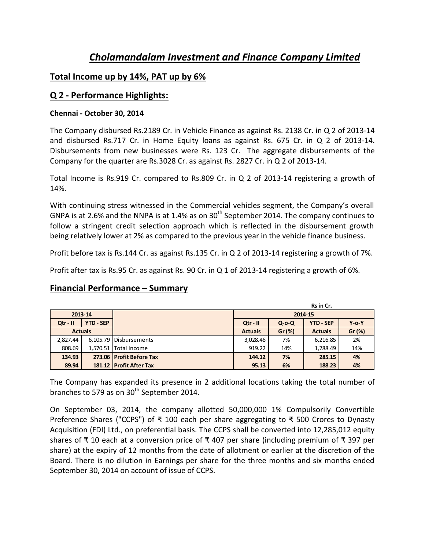# *Cholamandalam Investment and Finance Company Limited*

## **Total Income up by 14%, PAT up by 6%**

## **Q 2 - Performance Highlights:**

#### **Chennai - October 30, 2014**

The Company disbursed Rs.2189 Cr. in Vehicle Finance as against Rs. 2138 Cr. in Q 2 of 2013-14 and disbursed Rs.717 Cr. in Home Equity loans as against Rs. 675 Cr. in Q 2 of 2013-14. Disbursements from new businesses were Rs. 123 Cr. The aggregate disbursements of the Company for the quarter are Rs.3028 Cr. as against Rs. 2827 Cr. in Q 2 of 2013-14.

Total Income is Rs.919 Cr. compared to Rs.809 Cr. in Q 2 of 2013-14 registering a growth of 14%.

With continuing stress witnessed in the Commercial vehicles segment, the Company's overall GNPA is at 2.6% and the NNPA is at 1.4% as on  $30<sup>th</sup>$  September 2014. The company continues to follow a stringent credit selection approach which is reflected in the disbursement growth being relatively lower at 2% as compared to the previous year in the vehicle finance business.

Profit before tax is Rs.144 Cr. as against Rs.135 Cr. in Q 2 of 2013-14 registering a growth of 7%.

Profit after tax is Rs.95 Cr. as against Rs. 90 Cr. in Q 1 of 2013-14 registering a growth of 6%.

# **Financial Performance – Summary**

|                |                  |                          | Rs in Cr.      |             |                  |             |
|----------------|------------------|--------------------------|----------------|-------------|------------------|-------------|
| 2013-14        |                  |                          | 2014-15        |             |                  |             |
| $Qtr - II$     | <b>YTD - SEP</b> |                          | $Qtr - II$     | $Q$ -o- $Q$ | <b>YTD - SEP</b> | $Y$ -0- $Y$ |
| <b>Actuals</b> |                  |                          | <b>Actuals</b> | Gr (%)      | <b>Actuals</b>   | Gr (%)      |
| 2.827.44       |                  | 6,105.79 Disbursements   | 3,028.46       | 7%          | 6,216.85         | 2%          |
| 808.69         |                  | 1,570.51 Total Income    | 919.22         | 14%         | 1,788.49         | 14%         |
| 134.93         |                  | 273.06 Profit Before Tax | 144.12         | 7%          | 285.15           | 4%          |
| 89.94          |                  | 181.12 Profit After Tax  | 95.13          | 6%          | 188.23           | 4%          |

The Company has expanded its presence in 2 additional locations taking the total number of branches to 579 as on 30<sup>th</sup> September 2014.

On September 03, 2014, the company allotted 50,000,000 1% Compulsorily Convertible Preference Shares ("CCPS") of ₹ 100 each per share aggregating to ₹ 500 Crores to Dynasty Acquisition (FDI) Ltd., on preferential basis. The CCPS shall be converted into 12,285,012 equity shares of ₹ 10 each at a conversion price of ₹ 407 per share (including premium of ₹ 397 per share) at the expiry of 12 months from the date of allotment or earlier at the discretion of the Board. There is no dilution in Earnings per share for the three months and six months ended September 30, 2014 on account of issue of CCPS.